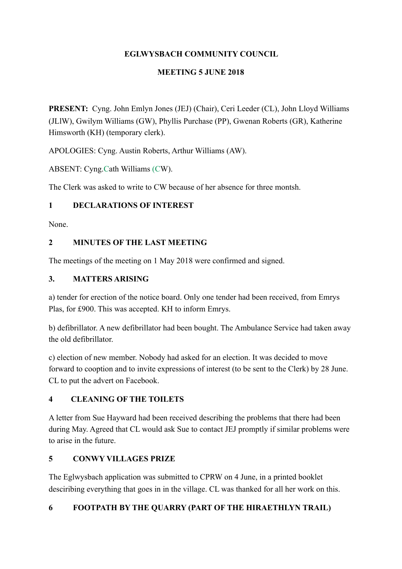## **EGLWYSBACH COMMUNITY COUNCIL**

### **MEETING 5 JUNE 2018**

**PRESENT:** Cyng. John Emlyn Jones (JEJ) (Chair), Ceri Leeder (CL), John Lloyd Williams (JLlW), Gwilym Williams (GW), Phyllis Purchase (PP), Gwenan Roberts (GR), Katherine Himsworth (KH) (temporary clerk).

APOLOGIES: Cyng. Austin Roberts, Arthur Williams (AW).

ABSENT: Cyng.Cath Williams (CW).

The Clerk was asked to write to CW because of her absence for three montsh.

### **1 DECLARATIONS OF INTEREST**

None.

## **2 MINUTES OF THE LAST MEETING**

The meetings of the meeting on 1 May 2018 were confirmed and signed.

## **3. MATTERS ARISING**

a) tender for erection of the notice board. Only one tender had been received, from Emrys Plas, for £900. This was accepted. KH to inform Emrys.

b) defibrillator. A new defibrillator had been bought. The Ambulance Service had taken away the old defibrillator.

c) election of new member. Nobody had asked for an election. It was decided to move forward to cooption and to invite expressions of interest (to be sent to the Clerk) by 28 June. CL to put the advert on Facebook.

# **4 CLEANING OF THE TOILETS**

A letter from Sue Hayward had been received describing the problems that there had been during May. Agreed that CL would ask Sue to contact JEJ promptly if similar problems were to arise in the future.

# **5 CONWY VILLAGES PRIZE**

The Eglwysbach application was submitted to CPRW on 4 June, in a printed booklet desciribing everything that goes in in the village. CL was thanked for all her work on this.

# **6 FOOTPATH BY THE QUARRY (PART OF THE HIRAETHLYN TRAIL)**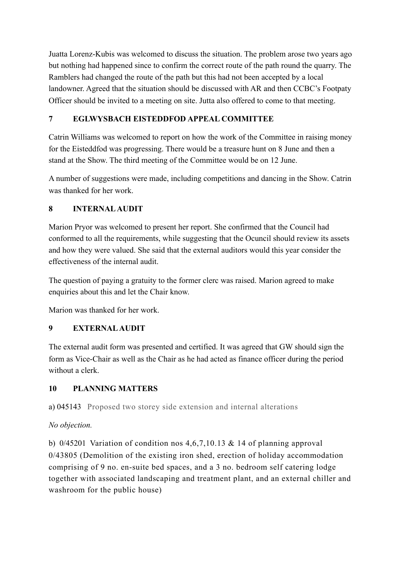Juatta Lorenz-Kubis was welcomed to discuss the situation. The problem arose two years ago but nothing had happened since to confirm the correct route of the path round the quarry. The Ramblers had changed the route of the path but this had not been accepted by a local landowner. Agreed that the situation should be discussed with AR and then CCBC's Footpaty Officer should be invited to a meeting on site. Jutta also offered to come to that meeting.

## **7 EGLWYSBACH EISTEDDFOD APPEAL COMMITTEE**

Catrin Williams was welcomed to report on how the work of the Committee in raising money for the Eisteddfod was progressing. There would be a treasure hunt on 8 June and then a stand at the Show. The third meeting of the Committee would be on 12 June.

A number of suggestions were made, including competitions and dancing in the Show. Catrin was thanked for her work.

## **8 INTERNAL AUDIT**

Marion Pryor was welcomed to present her report. She confirmed that the Council had conformed to all the requirements, while suggesting that the Ocuncil should review its assets and how they were valued. She said that the external auditors would this year consider the effectiveness of the internal audit.

The question of paying a gratuity to the former clerc was raised. Marion agreed to make enquiries about this and let the Chair know.

Marion was thanked for her work.

### **9 EXTERNAL AUDIT**

The external audit form was presented and certified. It was agreed that GW should sign the form as Vice-Chair as well as the Chair as he had acted as finance officer during the period without a clerk.

# **10 PLANNING MATTERS**

a) 045143 Proposed two storey side extension and internal alterations

### *No objection.*

b)  $0/45201$  Variation of condition nos 4,6,7,10.13 & 14 of planning approval 0/43805 (Demolition of the existing iron shed, erection of holiday accommodation comprising of 9 no. en-suite bed spaces, and a 3 no. bedroom self catering lodge together with associated landscaping and treatment plant, and an external chiller and washroom for the public house)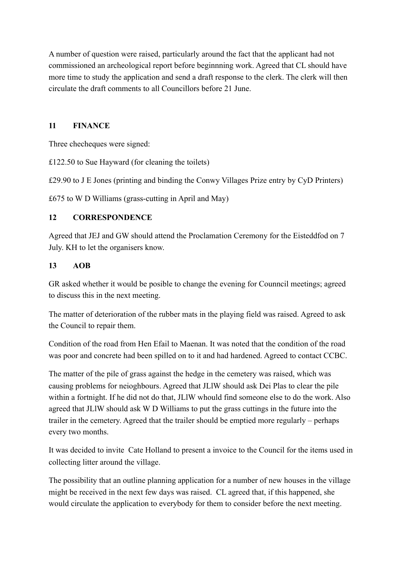A number of question were raised, particularly around the fact that the applicant had not commissioned an archeological report before beginnning work. Agreed that CL should have more time to study the application and send a draft response to the clerk. The clerk will then circulate the draft comments to all Councillors before 21 June.

#### **11 FINANCE**

Three checheques were signed:

£122.50 to Sue Hayward (for cleaning the toilets)

£29.90 to J E Jones (printing and binding the Conwy Villages Prize entry by CyD Printers)

£675 to W D Williams (grass-cutting in April and May)

#### **12 CORRESPONDENCE**

Agreed that JEJ and GW should attend the Proclamation Ceremony for the Eisteddfod on 7 July. KH to let the organisers know.

#### **13 AOB**

GR asked whether it would be posible to change the evening for Counncil meetings; agreed to discuss this in the next meeting.

The matter of deterioration of the rubber mats in the playing field was raised. Agreed to ask the Council to repair them.

Condition of the road from Hen Efail to Maenan. It was noted that the condition of the road was poor and concrete had been spilled on to it and had hardened. Agreed to contact CCBC.

The matter of the pile of grass against the hedge in the cemetery was raised, which was causing problems for neioghbours. Agreed that JLlW should ask Dei Plas to clear the pile within a fortnight. If he did not do that, JLlW whould find someone else to do the work. Also agreed that JLlW should ask W D Williams to put the grass cuttings in the future into the trailer in the cemetery. Agreed that the trailer should be emptied more regularly – perhaps every two months.

It was decided to invite Cate Holland to present a invoice to the Council for the items used in collecting litter around the village.

The possibility that an outline planning application for a number of new houses in the village might be received in the next few days was raised. CL agreed that, if this happened, she would circulate the application to everybody for them to consider before the next meeting.